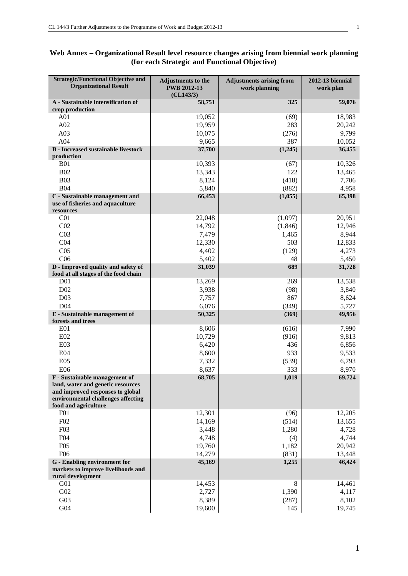| Web Annex – Organizational Result level resource changes arising from biennial work planning |  |
|----------------------------------------------------------------------------------------------|--|
| (for each Strategic and Functional Objective)                                                |  |

| <b>Strategic/Functional Objective and</b><br><b>Organizational Result</b> | Adjustments to the<br><b>PWB 2012-13</b> | <b>Adjustments arising from</b><br>work planning | <b>2012-13 biennial</b><br>work plan |
|---------------------------------------------------------------------------|------------------------------------------|--------------------------------------------------|--------------------------------------|
|                                                                           | (CL143/3)                                |                                                  |                                      |
| A - Sustainable intensification of<br>crop production                     | 58,751                                   | 325                                              | 59,076                               |
| A <sub>01</sub>                                                           | 19,052                                   | (69)                                             | 18,983                               |
| A02                                                                       | 19,959                                   | 283                                              | 20,242                               |
| A03                                                                       | 10,075                                   | (276)                                            | 9,799                                |
| A04                                                                       | 9,665                                    | 387                                              | 10,052                               |
| <b>B</b> - Increased sustainable livestock                                | 37,700                                   | (1,245)                                          | 36,455                               |
| production                                                                |                                          |                                                  |                                      |
| <b>B01</b>                                                                | 10,393                                   | (67)                                             | 10,326                               |
| <b>B02</b>                                                                | 13,343                                   | 122                                              | 13,465                               |
| <b>B03</b>                                                                | 8,124                                    | (418)                                            | 7,706                                |
| <b>B04</b>                                                                | 5,840                                    | (882)                                            | 4,958                                |
| C - Sustainable management and<br>use of fisheries and aquaculture        | 66,453                                   | (1,055)                                          | 65,398                               |
| resources                                                                 |                                          |                                                  |                                      |
| C <sub>01</sub>                                                           | 22,048                                   | (1,097)                                          | 20,951                               |
| CO <sub>2</sub>                                                           | 14,792                                   | (1, 846)                                         | 12,946                               |
| CO <sub>3</sub>                                                           | 7,479                                    | 1,465                                            | 8,944                                |
| CO <sub>4</sub>                                                           | 12,330                                   | 503                                              | 12,833                               |
| CO <sub>5</sub>                                                           | 4,402                                    | (129)                                            | 4,273                                |
| C <sub>06</sub>                                                           | 5,402                                    | 48                                               | 5,450                                |
| D - Improved quality and safety of                                        | 31,039                                   | 689                                              | 31,728                               |
| food at all stages of the food chain                                      |                                          |                                                  |                                      |
| D <sub>0</sub> 1                                                          | 13,269                                   | 269                                              | 13,538                               |
| D <sub>02</sub>                                                           | 3,938                                    | (98)                                             | 3,840                                |
| D <sub>03</sub>                                                           | 7,757                                    | 867                                              | 8,624                                |
| D <sub>04</sub>                                                           | 6,076                                    | (349)                                            | 5,727                                |
| E - Sustainable management of<br>forests and trees                        | 50,325                                   | (369)                                            | 49,956                               |
| E <sub>01</sub>                                                           | 8,606                                    | (616)                                            | 7,990                                |
| E02                                                                       | 10,729                                   | (916)                                            | 9,813                                |
| E03                                                                       | 6,420                                    | 436                                              | 6,856                                |
| E04                                                                       | 8,600                                    | 933                                              | 9,533                                |
| <b>E05</b>                                                                | 7,332                                    | (539)                                            | 6,793                                |
| <b>E06</b>                                                                | 8,637                                    | 333                                              | 8,970                                |
| F - Sustainable management of                                             | 68,705                                   | 1,019                                            | 69,724                               |
| land, water and genetic resources                                         |                                          |                                                  |                                      |
| and improved responses to global                                          |                                          |                                                  |                                      |
| environmental challenges affecting                                        |                                          |                                                  |                                      |
| food and agriculture                                                      |                                          |                                                  |                                      |
| F <sub>01</sub><br>F02                                                    | 12,301                                   | (96)                                             | 12,205                               |
| F03                                                                       | 14,169                                   | (514)                                            | 13,655<br>4,728                      |
| F04                                                                       | 3,448                                    | 1,280                                            |                                      |
|                                                                           | 4,748                                    | (4)                                              | 4,744                                |
| F05<br>F <sub>06</sub>                                                    | 19,760<br>14,279                         | 1,182<br>(831)                                   | 20,942<br>13,448                     |
| <b>G</b> - Enabling environment for                                       | 45,169                                   | 1,255                                            | 46,424                               |
| markets to improve livelihoods and                                        |                                          |                                                  |                                      |
| rural development                                                         |                                          |                                                  |                                      |
| G <sub>01</sub>                                                           | 14,453                                   | 8                                                | 14,461                               |
| G02                                                                       | 2,727                                    | 1,390                                            | 4,117                                |
| G03                                                                       | 8,389                                    | (287)                                            | 8,102                                |
| G04                                                                       | 19,600                                   | 145                                              | 19,745                               |